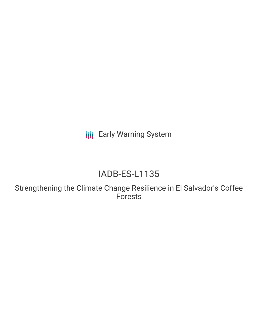**III** Early Warning System

# IADB-ES-L1135

Strengthening the Climate Change Resilience in El Salvador's Coffee Forests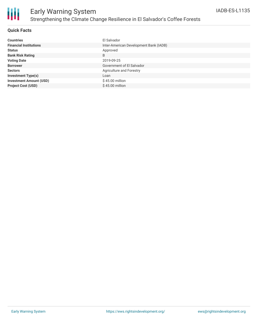

#### **Quick Facts**

| <b>Countries</b>               | El Salvador                            |
|--------------------------------|----------------------------------------|
| <b>Financial Institutions</b>  | Inter-American Development Bank (IADB) |
| <b>Status</b>                  | Approved                               |
| <b>Bank Risk Rating</b>        | B                                      |
| <b>Voting Date</b>             | 2019-09-25                             |
| <b>Borrower</b>                | Government of El Salvador              |
| <b>Sectors</b>                 | Agriculture and Forestry               |
| <b>Investment Type(s)</b>      | Loan                                   |
| <b>Investment Amount (USD)</b> | $$45.00$ million                       |
| <b>Project Cost (USD)</b>      | $$45.00$ million                       |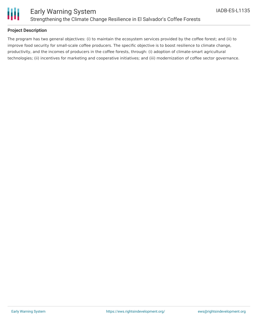

#### **Project Description**

The program has two general objectives: (i) to maintain the ecosystem services provided by the coffee forest; and (ii) to improve food security for small-scale coffee producers. The specific objective is to boost resilience to climate change, productivity, and the incomes of producers in the coffee forests, through: (i) adoption of climate-smart agricultural technologies; (ii) incentives for marketing and cooperative initiatives; and (iii) modernization of coffee sector governance.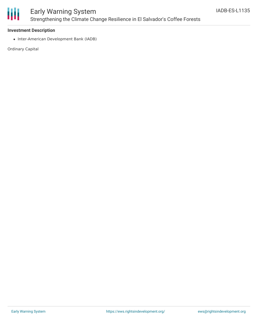

## Early Warning System Strengthening the Climate Change Resilience in El Salvador's Coffee Forests

#### **Investment Description**

• Inter-American Development Bank (IADB)

Ordinary Capital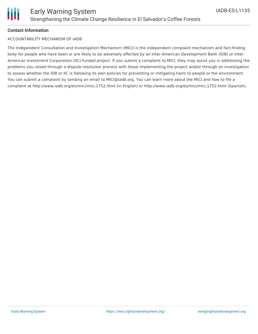

#### **Contact Information**

#### ACCOUNTABILITY MECHANISM OF IADB

The Independent Consultation and Investigation Mechanism (MICI) is the independent complaint mechanism and fact-finding body for people who have been or are likely to be adversely affected by an Inter-American Development Bank (IDB) or Inter-American Investment Corporation (IIC)-funded project. If you submit a complaint to MICI, they may assist you in addressing the problems you raised through a dispute-resolution process with those implementing the project and/or through an investigation to assess whether the IDB or IIC is following its own policies for preventing or mitigating harm to people or the environment. You can submit a complaint by sending an email to MICI@iadb.org. You can learn more about the MICI and how to file a complaint at http://www.iadb.org/en/mici/mici,1752.html (in English) or http://www.iadb.org/es/mici/mici,1752.html (Spanish).